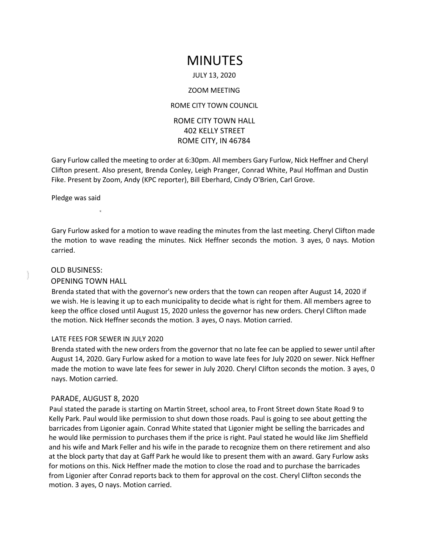# MINUTES

#### JULY 13, 2020

#### ZOOM MEETING

## ROME CITY TOWN COUNCIL

# ROME CITY TOWN HALL 402 KELLY STREET ROME CITY, IN 46784

Gary Furlow called the meeting to order at 6:30pm. All members Gary Furlow, Nick Heffner and Cheryl Clifton present. Also present, Brenda Conley, Leigh Pranger, Conrad White, Paul Hoffman and Dustin Fike. Present by Zoom, Andy (KPC reporter), Bill Eberhard, Cindy O'Brien, Carl Grove.

Pledge was said

Gary Furlow asked for a motion to wave reading the minutes from the last meeting. Cheryl Clifton made the motion to wave reading the minutes. Nick Heffner seconds the motion. 3 ayes, 0 nays. Motion carried.

#### OLD BUSINESS:

## OPENING TOWN HALL

Brenda stated that with the governor's new orders that the town can reopen after August 14, 2020 if we wish. He is leaving it up to each municipality to decide what is right for them. All members agree to keep the office closed until August 15, 2020 unless the governor has new orders. Cheryl Clifton made the motion. Nick Heffner seconds the motion. 3 ayes, O nays. Motion carried.

#### LATE FEES FOR SEWER IN JULY 2020

Brenda stated with the new orders from the governor that no late fee can be applied to sewer until after August 14, 2020. Gary Furlow asked for a motion to wave late fees for July 2020 on sewer. Nick Heffner made the motion to wave late fees for sewer in July 2020. Cheryl Clifton seconds the motion. 3 ayes, 0 nays. Motion carried.

# PARADE, AUGUST 8, 2020

Paul stated the parade is starting on Martin Street, school area, to Front Street down State Road 9 to Kelly Park. Paul would like permission to shut down those roads. Paul is going to see about getting the barricades from Ligonier again. Conrad White stated that Ligonier might be selling the barricades and he would like permission to purchases them if the price is right. Paul stated he would like Jim Sheffield and his wife and Mark Feller and his wife in the parade to recognize them on there retirement and also at the block party that day at Gaff Park he would like to present them with an award. Gary Furlow asks for motions on this. Nick Heffner made the motion to close the road and to purchase the barricades from Ligonier after Conrad reports back to them for approval on the cost. Cheryl Clifton seconds the motion. 3 ayes, O nays. Motion carried.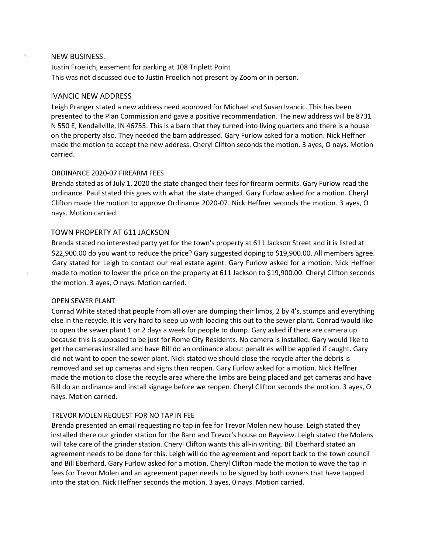## NEW BUSINESS.

s,

Justin Froelich, easement for parking at 108 Triplett Point This was not discussed due to Justin Froelich not present by Zoom or in person.

## IVANCIC NEW ADDRESS

Leigh Pranger stated a new address need approved for Michael and Susan Ivancic. This has been presented to the Plan Commission and gave a positive recommendation. The new address will be 8731 N 550 E, Kendallville, IN 46755. This is a barn that they turned into living quarters and there is a house on the property also. They needed the barn addressed. Gary Furlow asked for a motion. Nick Heffner made the motion to accept the new address. Cheryl Clifton seconds the motion. 3 ayes, O nays. Motion carried.

## ORDINANCE 2020-07 FIREARM FEES

Brenda stated as of July 1, 2020 the state changed their fees for firearm permits. Gary Furlow read the ordinance. Paul stated this goes with what the state changed. Gary Furlow asked for a motion. Cheryl Clifton made the motion to approve Ordinance 2020-07. Nick Heffner seconds the motion. 3 ayes, O nays. Motion carried.

# TOWN PROPERTY AT 611 JACKSON

Brenda stated no interested party yet for the town's property at 611 Jackson Street and it is listed at \$22,900.00 do you want to reduce the price? Gary suggested doping to \$19,900.00. All members agree. Gary stated for Leigh to contact our real estate agent. Gary Furlow asked for a motion. Nick Heffner made to motion to lower the price on the property at 611 Jackson to \$19,900.00. Cheryl Clifton seconds the motion. 3 ayes, O nays. Motion carried.

#### OPEN SEWER PLANT

Conrad White stated that people from all over are dumping their limbs, 2 by 4's, stumps and everything else in the recycle. It is very hard to keep up with loading this out to the sewer plant. Conrad would like to open the sewer plant 1 or 2 days a week for people to dump. Gary asked if there are camera up because this is supposed to be just for Rome City Residents. No camera is installed. Gary would like to get the cameras installed and have Bill do an ordinance about penalties will be applied if caught. Gary did not want to open the sewer plant. Nick stated we should close the recycle after the debris is removed and set up cameras and signs then reopen. Gary Furlow asked for a motion. Nick Heffner made the motion to close the recycle area where the limbs are being placed and get cameras and have Bill do an ordinance and install signage before we reopen. Cheryl Clifton seconds the motion. 3 ayes, O nays. Motion carried.

# TREVOR MOLEN REQUEST FOR NO TAP IN FEE

Brenda presented an email requesting no tap in fee for Trevor Molen new house. Leigh stated they installed there our grinder station for the Barn and Trevor's house on Bayview. Leigh stated the Molens will take care of the grinder station. Cheryl Clifton wants this all-in writing. Bill Eberhard stated an agreement needs to be done for this. Leigh will do the agreement and report back to the town council and Bill Eberhard. Gary Furlow asked for a motion. Cheryl Clifton made the motion to wave the tap in fees for Trevor Molen and an agreement paper needs to be signed by both owners that have tapped into the station. Nick Heffner seconds the motion. 3 ayes, 0 nays. Motion carried.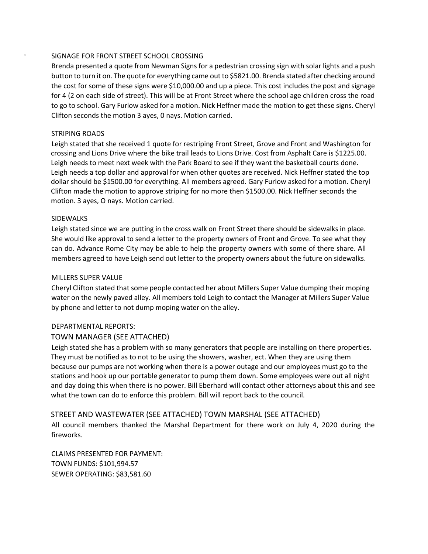## SIGNAGE FOR FRONT STREET SCHOOL CROSSING

Brenda presented a quote from Newman Signs for a pedestrian crossing sign with solar lights and a push button to turn it on. The quote for everything came out to \$5821.00. Brenda stated after checking around the cost for some of these signs were \$10,000.00 and up a piece. This cost includes the post and signage for 4 (2 on each side of street). This will be at Front Street where the school age children cross the road to go to school. Gary Furlow asked for a motion. Nick Heffner made the motion to get these signs. Cheryl Clifton seconds the motion 3 ayes, 0 nays. Motion carried.

## STRIPING ROADS

Leigh stated that she received 1 quote for restriping Front Street, Grove and Front and Washington for crossing and Lions Drive where the bike trail leads to Lions Drive. Cost from Asphalt Care is \$1225.00. Leigh needs to meet next week with the Park Board to see if they want the basketball courts done. Leigh needs a top dollar and approval for when other quotes are received. Nick Heffner stated the top dollar should be \$1500.00 for everything. All members agreed. Gary Furlow asked for a motion. Cheryl Clifton made the motion to approve striping for no more then \$1500.00. Nick Heffner seconds the motion. 3 ayes, O nays. Motion carried.

## SIDEWALKS

Leigh stated since we are putting in the cross walk on Front Street there should be sidewalks in place. She would like approval to send a letter to the property owners of Front and Grove. To see what they can do. Advance Rome City may be able to help the property owners with some of there share. All members agreed to have Leigh send out letter to the property owners about the future on sidewalks.

#### MILLERS SUPER VALUE

Cheryl Clifton stated that some people contacted her about Millers Super Value dumping their moping water on the newly paved alley. All members told Leigh to contact the Manager at Millers Super Value by phone and letter to not dump moping water on the alley.

# DEPARTMENTAL REPORTS:

# TOWN MANAGER (SEE ATTACHED)

Leigh stated she has a problem with so many generators that people are installing on there properties. They must be notified as to not to be using the showers, washer, ect. When they are using them because our pumps are not working when there is a power outage and our employees must go to the stations and hook up our portable generator to pump them down. Some employees were out all night and day doing this when there is no power. Bill Eberhard will contact other attorneys about this and see what the town can do to enforce this problem. Bill will report back to the council.

# STREET AND WASTEWATER (SEE ATTACHED) TOWN MARSHAL (SEE ATTACHED)

All council members thanked the Marshal Department for there work on July 4, 2020 during the fireworks.

CLAIMS PRESENTED FOR PAYMENT: TOWN FUNDS: \$101,994.57 SEWER OPERATING: \$83,581.60